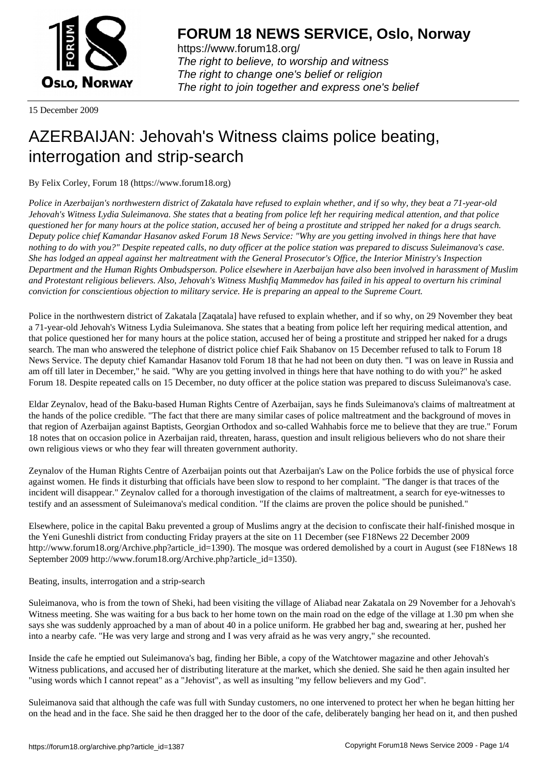

https://www.forum18.org/ The right to believe, to worship and witness The right to change one's belief or religion [The right to join together a](https://www.forum18.org/)nd express one's belief

15 December 2009

## [AZERBAIJAN: J](https://www.forum18.org)ehovah's Witness claims police beating, interrogation and strip-search

By Felix Corley, Forum 18 (https://www.forum18.org)

*Police in Azerbaijan's northwestern district of Zakatala have refused to explain whether, and if so why, they beat a 71-year-old Jehovah's Witness Lydia Suleimanova. She states that a beating from police left her requiring medical attention, and that police questioned her for many hours at the police station, accused her of being a prostitute and stripped her naked for a drugs search. Deputy police chief Kamandar Hasanov asked Forum 18 News Service: "Why are you getting involved in things here that have nothing to do with you?" Despite repeated calls, no duty officer at the police station was prepared to discuss Suleimanova's case. She has lodged an appeal against her maltreatment with the General Prosecutor's Office, the Interior Ministry's Inspection Department and the Human Rights Ombudsperson. Police elsewhere in Azerbaijan have also been involved in harassment of Muslim and Protestant religious believers. Also, Jehovah's Witness Mushfiq Mammedov has failed in his appeal to overturn his criminal conviction for conscientious objection to military service. He is preparing an appeal to the Supreme Court.*

Police in the northwestern district of Zakatala [Zaqatala] have refused to explain whether, and if so why, on 29 November they beat a 71-year-old Jehovah's Witness Lydia Suleimanova. She states that a beating from police left her requiring medical attention, and that police questioned her for many hours at the police station, accused her of being a prostitute and stripped her naked for a drugs search. The man who answered the telephone of district police chief Faik Shabanov on 15 December refused to talk to Forum 18 News Service. The deputy chief Kamandar Hasanov told Forum 18 that he had not been on duty then. "I was on leave in Russia and am off till later in December," he said. "Why are you getting involved in things here that have nothing to do with you?" he asked Forum 18. Despite repeated calls on 15 December, no duty officer at the police station was prepared to discuss Suleimanova's case.

Eldar Zeynalov, head of the Baku-based Human Rights Centre of Azerbaijan, says he finds Suleimanova's claims of maltreatment at the hands of the police credible. "The fact that there are many similar cases of police maltreatment and the background of moves in that region of Azerbaijan against Baptists, Georgian Orthodox and so-called Wahhabis force me to believe that they are true." Forum 18 notes that on occasion police in Azerbaijan raid, threaten, harass, question and insult religious believers who do not share their own religious views or who they fear will threaten government authority.

Zeynalov of the Human Rights Centre of Azerbaijan points out that Azerbaijan's Law on the Police forbids the use of physical force against women. He finds it disturbing that officials have been slow to respond to her complaint. "The danger is that traces of the incident will disappear." Zeynalov called for a thorough investigation of the claims of maltreatment, a search for eye-witnesses to testify and an assessment of Suleimanova's medical condition. "If the claims are proven the police should be punished."

Elsewhere, police in the capital Baku prevented a group of Muslims angry at the decision to confiscate their half-finished mosque in the Yeni Guneshli district from conducting Friday prayers at the site on 11 December (see F18News 22 December 2009 http://www.forum18.org/Archive.php?article\_id=1390). The mosque was ordered demolished by a court in August (see F18News 18 September 2009 http://www.forum18.org/Archive.php?article\_id=1350).

Beating, insults, interrogation and a strip-search

Suleimanova, who is from the town of Sheki, had been visiting the village of Aliabad near Zakatala on 29 November for a Jehovah's Witness meeting. She was waiting for a bus back to her home town on the main road on the edge of the village at 1.30 pm when she says she was suddenly approached by a man of about 40 in a police uniform. He grabbed her bag and, swearing at her, pushed her into a nearby cafe. "He was very large and strong and I was very afraid as he was very angry," she recounted.

Inside the cafe he emptied out Suleimanova's bag, finding her Bible, a copy of the Watchtower magazine and other Jehovah's Witness publications, and accused her of distributing literature at the market, which she denied. She said he then again insulted her "using words which I cannot repeat" as a "Jehovist", as well as insulting "my fellow believers and my God".

Suleimanova said that although the cafe was full with Sunday customers, no one intervened to protect her when he began hitting her on the head and in the face. She said he then dragged her to the door of the cafe, deliberately banging her head on it, and then pushed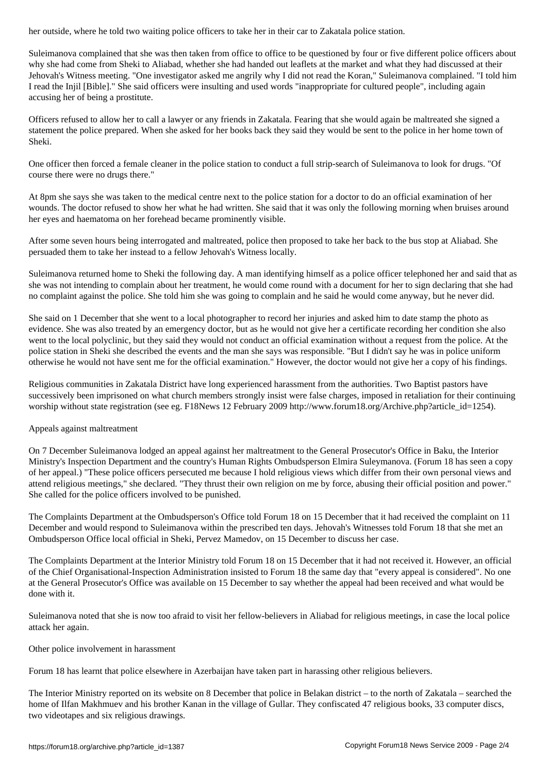Suleimanova complained that she was then taken from office to office to be questioned by four or five different police officers about why she had come from Sheki to Aliabad, whether she had handed out leaflets at the market and what they had discussed at their Jehovah's Witness meeting. "One investigator asked me angrily why I did not read the Koran," Suleimanova complained. "I told him I read the Injil [Bible]." She said officers were insulting and used words "inappropriate for cultured people", including again accusing her of being a prostitute.

Officers refused to allow her to call a lawyer or any friends in Zakatala. Fearing that she would again be maltreated she signed a statement the police prepared. When she asked for her books back they said they would be sent to the police in her home town of Sheki.

One officer then forced a female cleaner in the police station to conduct a full strip-search of Suleimanova to look for drugs. "Of course there were no drugs there."

At 8pm she says she was taken to the medical centre next to the police station for a doctor to do an official examination of her wounds. The doctor refused to show her what he had written. She said that it was only the following morning when bruises around her eyes and haematoma on her forehead became prominently visible.

After some seven hours being interrogated and maltreated, police then proposed to take her back to the bus stop at Aliabad. She persuaded them to take her instead to a fellow Jehovah's Witness locally.

Suleimanova returned home to Sheki the following day. A man identifying himself as a police officer telephoned her and said that as she was not intending to complain about her treatment, he would come round with a document for her to sign declaring that she had no complaint against the police. She told him she was going to complain and he said he would come anyway, but he never did.

She said on 1 December that she went to a local photographer to record her injuries and asked him to date stamp the photo as evidence. She was also treated by an emergency doctor, but as he would not give her a certificate recording her condition she also went to the local polyclinic, but they said they would not conduct an official examination without a request from the police. At the police station in Sheki she described the events and the man she says was responsible. "But I didn't say he was in police uniform otherwise he would not have sent me for the official examination." However, the doctor would not give her a copy of his findings.

Religious communities in Zakatala District have long experienced harassment from the authorities. Two Baptist pastors have successively been imprisoned on what church members strongly insist were false charges, imposed in retaliation for their continuing worship without state registration (see eg. F18News 12 February 2009 http://www.forum18.org/Archive.php?article\_id=1254).

## Appeals against maltreatment

On 7 December Suleimanova lodged an appeal against her maltreatment to the General Prosecutor's Office in Baku, the Interior Ministry's Inspection Department and the country's Human Rights Ombudsperson Elmira Suleymanova. (Forum 18 has seen a copy of her appeal.) "These police officers persecuted me because I hold religious views which differ from their own personal views and attend religious meetings," she declared. "They thrust their own religion on me by force, abusing their official position and power." She called for the police officers involved to be punished.

The Complaints Department at the Ombudsperson's Office told Forum 18 on 15 December that it had received the complaint on 11 December and would respond to Suleimanova within the prescribed ten days. Jehovah's Witnesses told Forum 18 that she met an Ombudsperson Office local official in Sheki, Pervez Mamedov, on 15 December to discuss her case.

The Complaints Department at the Interior Ministry told Forum 18 on 15 December that it had not received it. However, an official of the Chief Organisational-Inspection Administration insisted to Forum 18 the same day that "every appeal is considered". No one at the General Prosecutor's Office was available on 15 December to say whether the appeal had been received and what would be done with it.

Suleimanova noted that she is now too afraid to visit her fellow-believers in Aliabad for religious meetings, in case the local police attack her again.

Other police involvement in harassment

Forum 18 has learnt that police elsewhere in Azerbaijan have taken part in harassing other religious believers.

The Interior Ministry reported on its website on 8 December that police in Belakan district – to the north of Zakatala – searched the home of Ilfan Makhmuev and his brother Kanan in the village of Gullar. They confiscated 47 religious books, 33 computer discs, two videotapes and six religious drawings.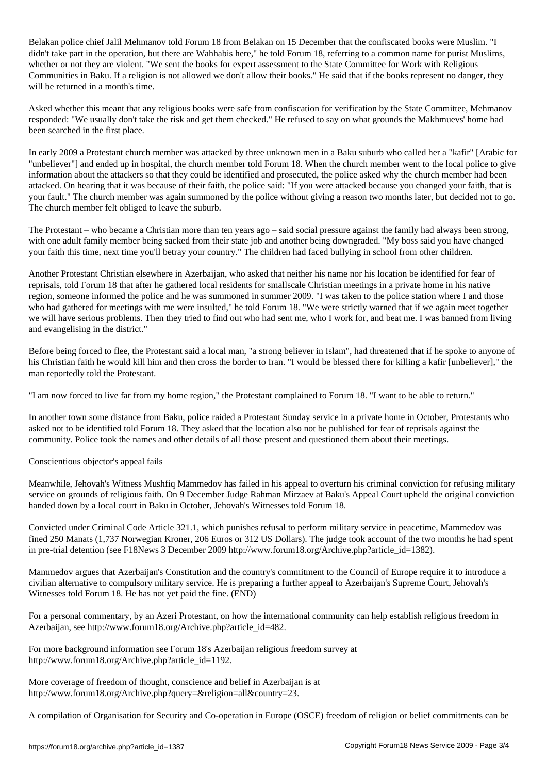Belakan police chief Jalil Mehmanov told Forum 18 from Belakan on 15 December that the confiscated books were Muslim. "I didn't take part in the operation, but there are Wahhabis here," he told Forum 18, referring to a common name for purist Muslims, whether or not they are violent. "We sent the books for expert assessment to the State Committee for Work with Religious Communities in Baku. If a religion is not allowed we don't allow their books." He said that if the books represent no danger, they will be returned in a month's time.

Asked whether this meant that any religious books were safe from confiscation for verification by the State Committee, Mehmanov responded: "We usually don't take the risk and get them checked." He refused to say on what grounds the Makhmuevs' home had been searched in the first place.

In early 2009 a Protestant church member was attacked by three unknown men in a Baku suburb who called her a "kafir" [Arabic for "unbeliever"] and ended up in hospital, the church member told Forum 18. When the church member went to the local police to give information about the attackers so that they could be identified and prosecuted, the police asked why the church member had been attacked. On hearing that it was because of their faith, the police said: "If you were attacked because you changed your faith, that is your fault." The church member was again summoned by the police without giving a reason two months later, but decided not to go. The church member felt obliged to leave the suburb.

The Protestant – who became a Christian more than ten years ago – said social pressure against the family had always been strong, with one adult family member being sacked from their state job and another being downgraded. "My boss said you have changed your faith this time, next time you'll betray your country." The children had faced bullying in school from other children.

Another Protestant Christian elsewhere in Azerbaijan, who asked that neither his name nor his location be identified for fear of reprisals, told Forum 18 that after he gathered local residents for smallscale Christian meetings in a private home in his native region, someone informed the police and he was summoned in summer 2009. "I was taken to the police station where I and those who had gathered for meetings with me were insulted," he told Forum 18. "We were strictly warned that if we again meet together we will have serious problems. Then they tried to find out who had sent me, who I work for, and beat me. I was banned from living and evangelising in the district."

Before being forced to flee, the Protestant said a local man, "a strong believer in Islam", had threatened that if he spoke to anyone of his Christian faith he would kill him and then cross the border to Iran. "I would be blessed there for killing a kafir [unbeliever]," the man reportedly told the Protestant.

"I am now forced to live far from my home region," the Protestant complained to Forum 18. "I want to be able to return."

In another town some distance from Baku, police raided a Protestant Sunday service in a private home in October, Protestants who asked not to be identified told Forum 18. They asked that the location also not be published for fear of reprisals against the community. Police took the names and other details of all those present and questioned them about their meetings.

Conscientious objector's appeal fails

Meanwhile, Jehovah's Witness Mushfiq Mammedov has failed in his appeal to overturn his criminal conviction for refusing military service on grounds of religious faith. On 9 December Judge Rahman Mirzaev at Baku's Appeal Court upheld the original conviction handed down by a local court in Baku in October, Jehovah's Witnesses told Forum 18.

Convicted under Criminal Code Article 321.1, which punishes refusal to perform military service in peacetime, Mammedov was fined 250 Manats (1,737 Norwegian Kroner, 206 Euros or 312 US Dollars). The judge took account of the two months he had spent in pre-trial detention (see F18News 3 December 2009 http://www.forum18.org/Archive.php?article\_id=1382).

Mammedov argues that Azerbaijan's Constitution and the country's commitment to the Council of Europe require it to introduce a civilian alternative to compulsory military service. He is preparing a further appeal to Azerbaijan's Supreme Court, Jehovah's Witnesses told Forum 18. He has not yet paid the fine. (END)

For a personal commentary, by an Azeri Protestant, on how the international community can help establish religious freedom in Azerbaijan, see http://www.forum18.org/Archive.php?article\_id=482.

For more background information see Forum 18's Azerbaijan religious freedom survey at http://www.forum18.org/Archive.php?article\_id=1192.

More coverage of freedom of thought, conscience and belief in Azerbaijan is at http://www.forum18.org/Archive.php?query=&religion=all&country=23.

A compilation of Organisation for Security and Co-operation in Europe (OSCE) freedom of religion or belief commitments can be